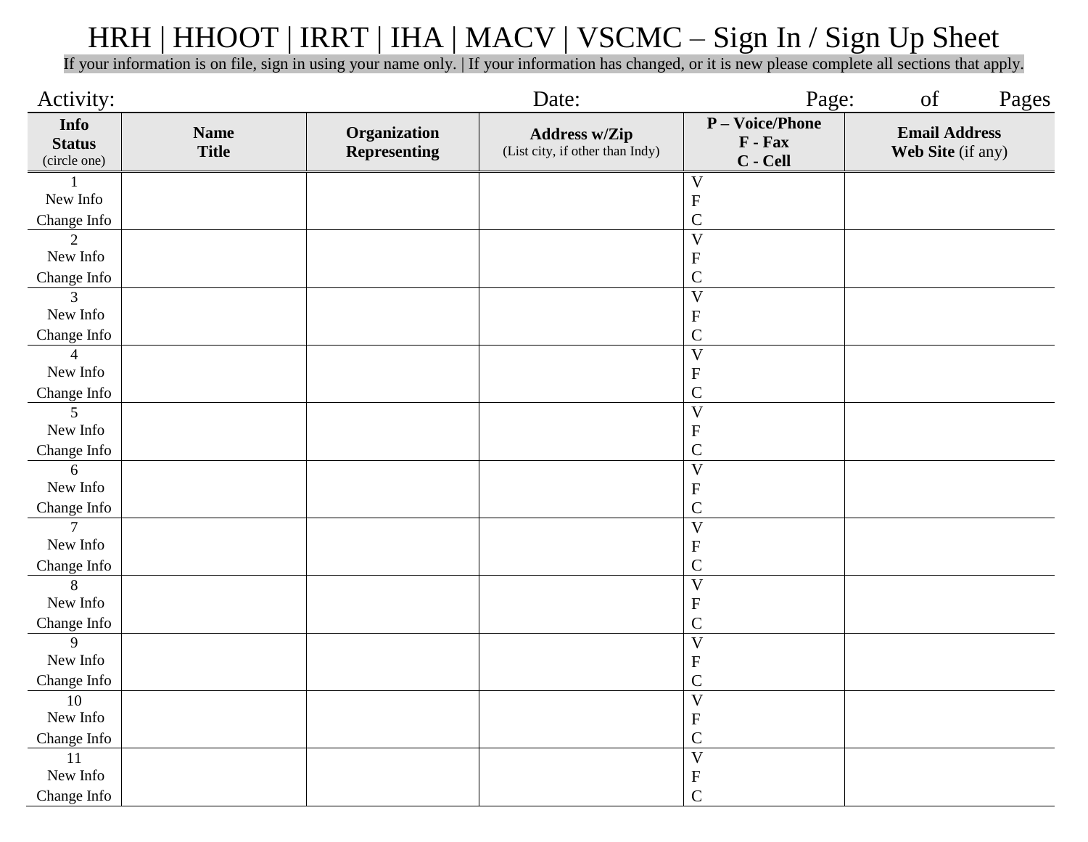## HRH | HHOOT | IRRT | IHA | MACV | VSCMC – Sign In / Sign Up Sheet

If your information is on file, sign in using your name only. | If your information has changed, or it is new please complete all sections that apply.

| Activity:                             |                             |                                     | Date:                                                   | Page:                                  | of<br>Pages                               |
|---------------------------------------|-----------------------------|-------------------------------------|---------------------------------------------------------|----------------------------------------|-------------------------------------------|
| Info<br><b>Status</b><br>(circle one) | <b>Name</b><br><b>Title</b> | Organization<br><b>Representing</b> | <b>Address w/Zip</b><br>(List city, if other than Indy) | P - Voice/Phone<br>F - Fax<br>C - Cell | <b>Email Address</b><br>Web Site (if any) |
|                                       |                             |                                     |                                                         | $\ensuremath{\text{V}}$                |                                           |
| New Info                              |                             |                                     |                                                         | ${\bf F}$                              |                                           |
| Change Info                           |                             |                                     |                                                         | $\mathsf C$                            |                                           |
| $\overline{2}$                        |                             |                                     |                                                         | $\overline{\mathbf{V}}$                |                                           |
| New Info                              |                             |                                     |                                                         | ${\bf F}$                              |                                           |
| Change Info                           |                             |                                     |                                                         | $\mathsf{C}$                           |                                           |
| 3                                     |                             |                                     |                                                         | $\overline{\mathbf{V}}$                |                                           |
| New Info                              |                             |                                     |                                                         | ${\bf F}$                              |                                           |
| Change Info                           |                             |                                     |                                                         | $\mathsf C$                            |                                           |
| $\boldsymbol{\Delta}$                 |                             |                                     |                                                         | $\overline{V}$                         |                                           |
| New Info                              |                             |                                     |                                                         | ${\bf F}$                              |                                           |
| Change Info                           |                             |                                     |                                                         | $\mathcal{C}$                          |                                           |
| 5                                     |                             |                                     |                                                         | $\overline{\mathbf{V}}$                |                                           |
| New Info                              |                             |                                     |                                                         | ${\bf F}$                              |                                           |
| Change Info                           |                             |                                     |                                                         | $\mathbf C$                            |                                           |
| 6                                     |                             |                                     |                                                         | $\overline{V}$                         |                                           |
| New Info                              |                             |                                     |                                                         | ${\bf F}$                              |                                           |
| Change Info                           |                             |                                     |                                                         | $\mathsf{C}$                           |                                           |
| $\tau$                                |                             |                                     |                                                         | $\overline{V}$                         |                                           |
| New Info                              |                             |                                     |                                                         | ${\bf F}$                              |                                           |
| Change Info                           |                             |                                     |                                                         | $\mathsf{C}$                           |                                           |
| 8                                     |                             |                                     |                                                         | $\overline{V}$                         |                                           |
| New Info                              |                             |                                     |                                                         | ${\bf F}$                              |                                           |
| Change Info                           |                             |                                     |                                                         | $\mathsf{C}$                           |                                           |
| 9                                     |                             |                                     |                                                         | $\overline{V}$                         |                                           |
| New Info                              |                             |                                     |                                                         | ${\bf F}$                              |                                           |
| Change Info                           |                             |                                     |                                                         | $\mathsf C$                            |                                           |
| $\overline{10}$                       |                             |                                     |                                                         | $\overline{V}$                         |                                           |
| New Info                              |                             |                                     |                                                         | ${\bf F}$                              |                                           |
| Change Info                           |                             |                                     |                                                         | $\mathsf{C}$                           |                                           |
| $\overline{11}$                       |                             |                                     |                                                         | $\overline{V}$                         |                                           |
| New Info                              |                             |                                     |                                                         | $\boldsymbol{\mathrm{F}}$              |                                           |
| Change Info                           |                             |                                     |                                                         | $\mathbf C$                            |                                           |